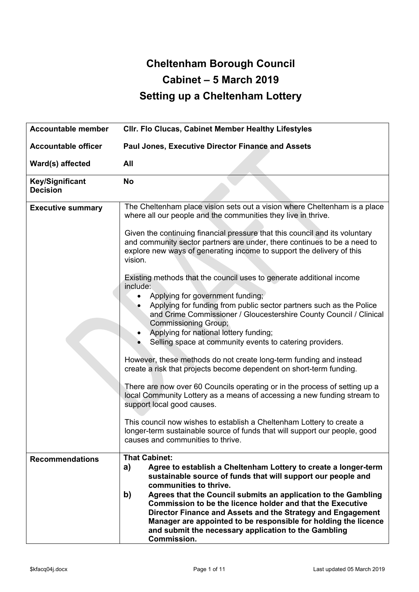# **Cheltenham Borough Council Cabinet – 5 March 2019 Setting up a Cheltenham Lottery**

| <b>Accountable member</b>                 | Cllr. Flo Clucas, Cabinet Member Healthy Lifestyles                                                                                                                                                                                                                                                                                         |
|-------------------------------------------|---------------------------------------------------------------------------------------------------------------------------------------------------------------------------------------------------------------------------------------------------------------------------------------------------------------------------------------------|
| <b>Accountable officer</b>                | Paul Jones, Executive Director Finance and Assets                                                                                                                                                                                                                                                                                           |
| Ward(s) affected                          | All                                                                                                                                                                                                                                                                                                                                         |
| <b>Key/Significant</b><br><b>Decision</b> | <b>No</b>                                                                                                                                                                                                                                                                                                                                   |
| <b>Executive summary</b>                  | The Cheltenham place vision sets out a vision where Cheltenham is a place<br>where all our people and the communities they live in thrive.                                                                                                                                                                                                  |
|                                           | Given the continuing financial pressure that this council and its voluntary<br>and community sector partners are under, there continues to be a need to<br>explore new ways of generating income to support the delivery of this<br>vision.                                                                                                 |
|                                           | Existing methods that the council uses to generate additional income<br>include:<br>Applying for government funding;<br>Applying for funding from public sector partners such as the Police                                                                                                                                                 |
|                                           | and Crime Commissioner / Gloucestershire County Council / Clinical<br>Commissioning Group;<br>Applying for national lottery funding;<br>Selling space at community events to catering providers.                                                                                                                                            |
|                                           | However, these methods do not create long-term funding and instead<br>create a risk that projects become dependent on short-term funding.                                                                                                                                                                                                   |
|                                           | There are now over 60 Councils operating or in the process of setting up a<br>local Community Lottery as a means of accessing a new funding stream to<br>support local good causes.                                                                                                                                                         |
|                                           | This council now wishes to establish a Cheltenham Lottery to create a<br>longer-term sustainable source of funds that will support our people, good<br>causes and communities to thrive.                                                                                                                                                    |
| <b>Recommendations</b>                    | <b>That Cabinet:</b><br>a)<br>Agree to establish a Cheltenham Lottery to create a longer-term<br>sustainable source of funds that will support our people and<br>communities to thrive.                                                                                                                                                     |
|                                           | b)<br>Agrees that the Council submits an application to the Gambling<br>Commission to be the licence holder and that the Executive<br>Director Finance and Assets and the Strategy and Engagement<br>Manager are appointed to be responsible for holding the licence<br>and submit the necessary application to the Gambling<br>Commission. |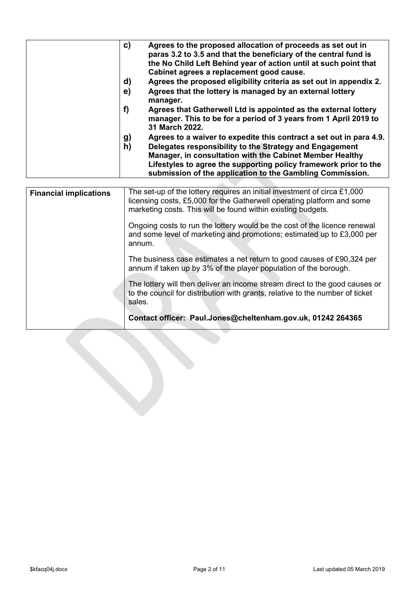| C)<br>d)<br>e)<br>f)<br>g)<br>h) | Agrees to the proposed allocation of proceeds as set out in<br>paras 3.2 to 3.5 and that the beneficiary of the central fund is<br>the No Child Left Behind year of action until at such point that<br>Cabinet agrees a replacement good cause.<br>Agrees the proposed eligibility criteria as set out in appendix 2.<br>Agrees that the lottery is managed by an external lottery<br>manager.<br>Agrees that Gatherwell Ltd is appointed as the external lottery<br>manager. This to be for a period of 3 years from 1 April 2019 to<br>31 March 2022.<br>Agrees to a waiver to expedite this contract a set out in para 4.9.<br>Delegates responsibility to the Strategy and Engagement<br>Manager, in consultation with the Cabinet Member Healthy |
|----------------------------------|-------------------------------------------------------------------------------------------------------------------------------------------------------------------------------------------------------------------------------------------------------------------------------------------------------------------------------------------------------------------------------------------------------------------------------------------------------------------------------------------------------------------------------------------------------------------------------------------------------------------------------------------------------------------------------------------------------------------------------------------------------|
|                                  | Lifestyles to agree the supporting policy framework prior to the<br>submission of the application to the Gambling Commission.                                                                                                                                                                                                                                                                                                                                                                                                                                                                                                                                                                                                                         |
|                                  |                                                                                                                                                                                                                                                                                                                                                                                                                                                                                                                                                                                                                                                                                                                                                       |
|                                  |                                                                                                                                                                                                                                                                                                                                                                                                                                                                                                                                                                                                                                                                                                                                                       |

| <b>Financial implications</b> | The set-up of the lottery requires an initial investment of circa £1,000<br>licensing costs, £5,000 for the Gatherwell operating platform and some<br>marketing costs. This will be found within existing budgets.<br>Ongoing costs to run the lottery would be the cost of the licence renewal<br>and some level of marketing and promotions; estimated up to £3,000 per<br>annum. |  |  |  |  |  |
|-------------------------------|-------------------------------------------------------------------------------------------------------------------------------------------------------------------------------------------------------------------------------------------------------------------------------------------------------------------------------------------------------------------------------------|--|--|--|--|--|
|                               | The business case estimates a net return to good causes of £90,324 per<br>annum if taken up by 3% of the player population of the borough.                                                                                                                                                                                                                                          |  |  |  |  |  |
|                               | The lottery will then deliver an income stream direct to the good causes or<br>to the council for distribution with grants, relative to the number of ticket<br>sales.                                                                                                                                                                                                              |  |  |  |  |  |
|                               | Contact officer: Paul.Jones@cheltenham.gov.uk, 01242 264365                                                                                                                                                                                                                                                                                                                         |  |  |  |  |  |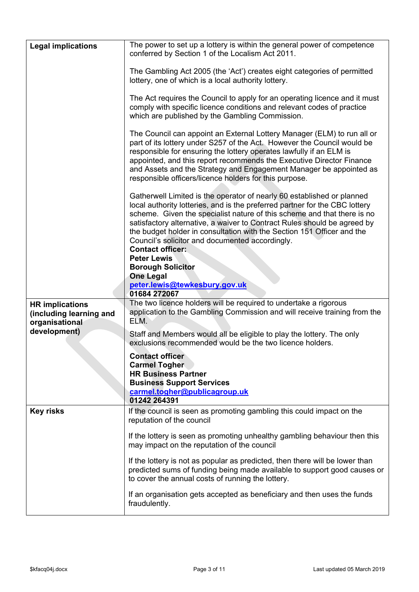| <b>Legal implications</b>                                           | The power to set up a lottery is within the general power of competence<br>conferred by Section 1 of the Localism Act 2011.                                                                                                                                                                                                                                                                                                                                          |
|---------------------------------------------------------------------|----------------------------------------------------------------------------------------------------------------------------------------------------------------------------------------------------------------------------------------------------------------------------------------------------------------------------------------------------------------------------------------------------------------------------------------------------------------------|
|                                                                     | The Gambling Act 2005 (the 'Act') creates eight categories of permitted<br>lottery, one of which is a local authority lottery.                                                                                                                                                                                                                                                                                                                                       |
|                                                                     | The Act requires the Council to apply for an operating licence and it must<br>comply with specific licence conditions and relevant codes of practice<br>which are published by the Gambling Commission.                                                                                                                                                                                                                                                              |
|                                                                     | The Council can appoint an External Lottery Manager (ELM) to run all or<br>part of its lottery under S257 of the Act. However the Council would be<br>responsible for ensuring the lottery operates lawfully if an ELM is<br>appointed, and this report recommends the Executive Director Finance<br>and Assets and the Strategy and Engagement Manager be appointed as<br>responsible officers/licence holders for this purpose.                                    |
|                                                                     | Gatherwell Limited is the operator of nearly 60 established or planned<br>local authority lotteries, and is the preferred partner for the CBC lottery<br>scheme. Given the specialist nature of this scheme and that there is no<br>satisfactory alternative, a waiver to Contract Rules should be agreed by<br>the budget holder in consultation with the Section 151 Officer and the<br>Council's solicitor and documented accordingly.<br><b>Contact officer:</b> |
|                                                                     | <b>Peter Lewis</b><br><b>Borough Solicitor</b>                                                                                                                                                                                                                                                                                                                                                                                                                       |
|                                                                     | <b>One Legal</b>                                                                                                                                                                                                                                                                                                                                                                                                                                                     |
|                                                                     | peter.lewis@tewkesbury.gov.uk<br>01684 272067                                                                                                                                                                                                                                                                                                                                                                                                                        |
| <b>HR implications</b><br>(including learning and<br>organisational | The two licence holders will be required to undertake a rigorous<br>application to the Gambling Commission and will receive training from the<br>ELM.                                                                                                                                                                                                                                                                                                                |
| development)                                                        | Staff and Members would all be eligible to play the lottery. The only<br>exclusions recommended would be the two licence holders.                                                                                                                                                                                                                                                                                                                                    |
|                                                                     | <b>Contact officer</b><br><b>Carmel Togher</b><br><b>HR Business Partner</b><br><b>Business Support Services</b><br>carmel.togher@publicagroup.uk<br>01242 264391                                                                                                                                                                                                                                                                                                    |
| <b>Key risks</b>                                                    | If the council is seen as promoting gambling this could impact on the<br>reputation of the council                                                                                                                                                                                                                                                                                                                                                                   |
|                                                                     | If the lottery is seen as promoting unhealthy gambling behaviour then this<br>may impact on the reputation of the council                                                                                                                                                                                                                                                                                                                                            |
|                                                                     | If the lottery is not as popular as predicted, then there will be lower than<br>predicted sums of funding being made available to support good causes or<br>to cover the annual costs of running the lottery.                                                                                                                                                                                                                                                        |
|                                                                     | If an organisation gets accepted as beneficiary and then uses the funds<br>fraudulently.                                                                                                                                                                                                                                                                                                                                                                             |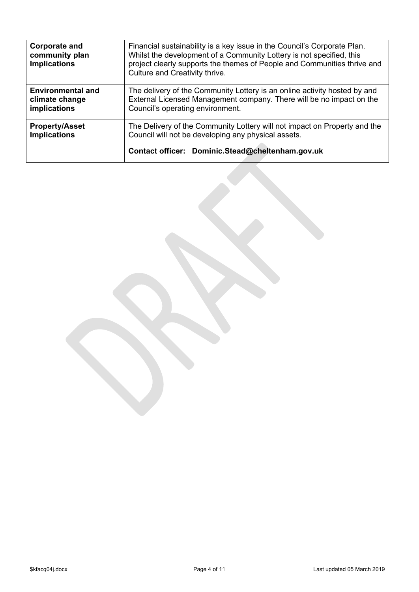| <b>Corporate and</b><br>community plan<br><b>Implications</b>     | Financial sustainability is a key issue in the Council's Corporate Plan.<br>Whilst the development of a Community Lottery is not specified, this<br>project clearly supports the themes of People and Communities thrive and<br>Culture and Creativity thrive. |  |  |  |  |  |  |
|-------------------------------------------------------------------|----------------------------------------------------------------------------------------------------------------------------------------------------------------------------------------------------------------------------------------------------------------|--|--|--|--|--|--|
| <b>Environmental and</b><br>climate change<br><b>implications</b> | The delivery of the Community Lottery is an online activity hosted by and<br>External Licensed Management company. There will be no impact on the<br>Council's operating environment.                                                                          |  |  |  |  |  |  |
| <b>Property/Asset</b><br><b>Implications</b>                      | The Delivery of the Community Lottery will not impact on Property and the<br>Council will not be developing any physical assets.<br>Contact officer: Dominic.Stead@cheltenham.gov.uk                                                                           |  |  |  |  |  |  |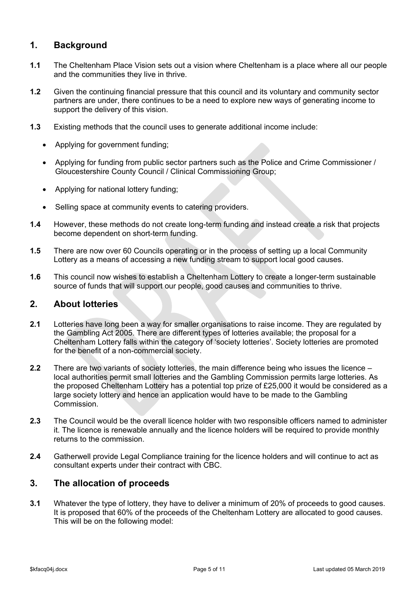# **1. Background**

- **1.1** The Cheltenham Place Vision sets out a vision where Cheltenham is a place where all our people and the communities they live in thrive.
- **1.2** Given the continuing financial pressure that this council and its voluntary and community sector partners are under, there continues to be a need to explore new ways of generating income to support the delivery of this vision.
- **1.3** Existing methods that the council uses to generate additional income include:
	- Applying for government funding;
	- Applying for funding from public sector partners such as the Police and Crime Commissioner / Gloucestershire County Council / Clinical Commissioning Group;
	- Applying for national lottery funding;
	- Selling space at community events to catering providers.
- **1.4** However, these methods do not create long-term funding and instead create a risk that projects become dependent on short-term funding.
- **1.5** There are now over 60 Councils operating or in the process of setting up a local Community Lottery as a means of accessing a new funding stream to support local good causes.
- **1.6** This council now wishes to establish a Cheltenham Lottery to create a longer-term sustainable source of funds that will support our people, good causes and communities to thrive.

# **2. About lotteries**

- **2.1** Lotteries have long been a way for smaller organisations to raise income. They are regulated by the Gambling Act 2005. There are different types of lotteries available; the proposal for a Cheltenham Lottery falls within the category of 'society lotteries'. Society lotteries are promoted for the benefit of a non-commercial society.
- **2.2** There are two variants of society lotteries, the main difference being who issues the licence local authorities permit small lotteries and the Gambling Commission permits large lotteries. As the proposed Cheltenham Lottery has a potential top prize of £25,000 it would be considered as a large society lottery and hence an application would have to be made to the Gambling Commission.
- **2.3** The Council would be the overall licence holder with two responsible officers named to administer it. The licence is renewable annually and the licence holders will be required to provide monthly returns to the commission.
- **2.4** Gatherwell provide Legal Compliance training for the licence holders and will continue to act as consultant experts under their contract with CBC.

## **3. The allocation of proceeds**

**3.1** Whatever the type of lottery, they have to deliver a minimum of 20% of proceeds to good causes. It is proposed that 60% of the proceeds of the Cheltenham Lottery are allocated to good causes. This will be on the following model: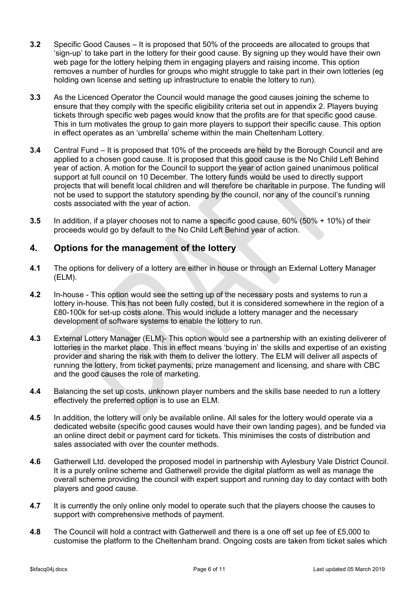- **3.2** Specific Good Causes It is proposed that 50% of the proceeds are allocated to groups that 'sign-up' to take part in the lottery for their good cause. By signing up they would have their own web page for the lottery helping them in engaging players and raising income. This option removes a number of hurdles for groups who might struggle to take part in their own lotteries (eg holding own license and setting up infrastructure to enable the lottery to run).
- **3.3** As the Licenced Operator the Council would manage the good causes joining the scheme to ensure that they comply with the specific eligibility criteria set out in appendix 2. Players buying tickets through specific web pages would know that the profits are for that specific good cause. This in turn motivates the group to gain more players to support their specific cause. This option in effect operates as an 'umbrella' scheme within the main Cheltenham Lottery.
- **3.4** Central Fund It is proposed that 10% of the proceeds are held by the Borough Council and are applied to a chosen good cause. It is proposed that this good cause is the No Child Left Behind year of action. A motion for the Council to support the year of action gained unanimous political support at full council on 10 December. The lottery funds would be used to directly support projects that will benefit local children and will therefore be charitable in purpose. The funding will not be used to support the statutory spending by the council, nor any of the council's running costs associated with the year of action.
- **3.5** In addition, if a player chooses not to name a specific good cause, 60% (50% + 10%) of their proceeds would go by default to the No Child Left Behind year of action.

## **4. Options for the management of the lottery**

- **4.1** The options for delivery of a lottery are either in house or through an External Lottery Manager (ELM).
- **4.2** In-house This option would see the setting up of the necessary posts and systems to run a lottery in-house. This has not been fully costed, but it is considered somewhere in the region of a £80-100k for set-up costs alone. This would include a lottery manager and the necessary development of software systems to enable the lottery to run.
- **4.3** External Lottery Manager (ELM)- This option would see a partnership with an existing deliverer of lotteries in the market place. This in effect means 'buying in' the skills and expertise of an existing provider and sharing the risk with them to deliver the lottery. The ELM will deliver all aspects of running the lottery, from ticket payments, prize management and licensing, and share with CBC and the good causes the role of marketing.
- **4.4** Balancing the set up costs, unknown player numbers and the skills base needed to run a lottery effectively the preferred option is to use an ELM.
- **4.5** In addition, the lottery will only be available online. All sales for the lottery would operate via a dedicated website (specific good causes would have their own landing pages), and be funded via an online direct debit or payment card for tickets. This minimises the costs of distribution and sales associated with over the counter methods.
- **4.6** Gatherwell Ltd. developed the proposed model in partnership with Aylesbury Vale District Council. It is a purely online scheme and Gatherwell provide the digital platform as well as manage the overall scheme providing the council with expert support and running day to day contact with both players and good cause.
- **4.7** It is currently the only online only model to operate such that the players choose the causes to support with comprehensive methods of payment.
- **4.8** The Council will hold a contract with Gatherwell and there is a one off set up fee of £5,000 to customise the platform to the Cheltenham brand. Ongoing costs are taken from ticket sales which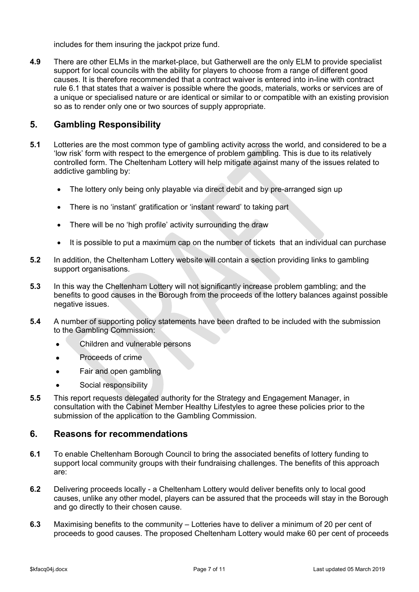includes for them insuring the jackpot prize fund.

**4.9** There are other ELMs in the market-place, but Gatherwell are the only ELM to provide specialist support for local councils with the ability for players to choose from a range of different good causes. It is therefore recommended that a contract waiver is entered into in-line with contract rule 6.1 that states that a waiver is possible where the goods, materials, works or services are of a unique or specialised nature or are identical or similar to or compatible with an existing provision so as to render only one or two sources of supply appropriate.

# **5. Gambling Responsibility**

- **5.1** Lotteries are the most common type of gambling activity across the world, and considered to be a 'low risk' form with respect to the emergence of problem gambling. This is due to its relatively controlled form. The Cheltenham Lottery will help mitigate against many of the issues related to addictive gambling by:
	- The lottery only being only playable via direct debit and by pre-arranged sign up
	- There is no 'instant' gratification or 'instant reward' to taking part
	- There will be no 'high profile' activity surrounding the draw
	- It is possible to put a maximum cap on the number of tickets that an individual can purchase
- **5.2** In addition, the Cheltenham Lottery website will contain a section providing links to gambling support organisations.
- **5.3** In this way the Cheltenham Lottery will not significantly increase problem gambling; and the benefits to good causes in the Borough from the proceeds of the lottery balances against possible negative issues.
- **5.4** A number of supporting policy statements have been drafted to be included with the submission to the Gambling Commission:
	- Children and vulnerable persons
	- Proceeds of crime
	- Fair and open gambling
	- Social responsibility
- **5.5** This report requests delegated authority for the Strategy and Engagement Manager, in consultation with the Cabinet Member Healthy Lifestyles to agree these policies prior to the submission of the application to the Gambling Commission.

#### **6. Reasons for recommendations**

- **6.1** To enable Cheltenham Borough Council to bring the associated benefits of lottery funding to support local community groups with their fundraising challenges. The benefits of this approach are:
- **6.2** Delivering proceeds locally a Cheltenham Lottery would deliver benefits only to local good causes, unlike any other model, players can be assured that the proceeds will stay in the Borough and go directly to their chosen cause.
- **6.3** Maximising benefits to the community Lotteries have to deliver a minimum of 20 per cent of proceeds to good causes. The proposed Cheltenham Lottery would make 60 per cent of proceeds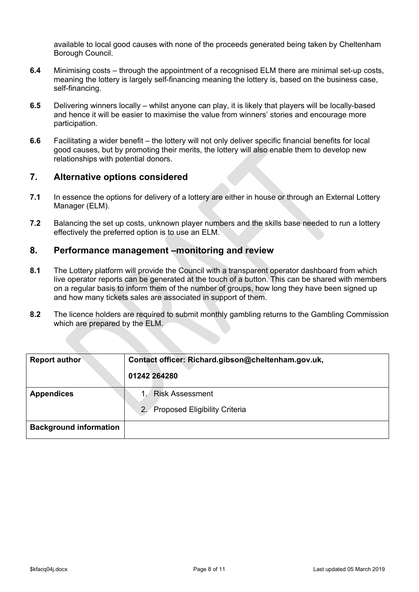available to local good causes with none of the proceeds generated being taken by Cheltenham Borough Council.

- **6.4** Minimising costs through the appointment of a recognised ELM there are minimal set-up costs, meaning the lottery is largely self-financing meaning the lottery is, based on the business case, self-financing.
- **6.5** Delivering winners locally whilst anyone can play, it is likely that players will be locally-based and hence it will be easier to maximise the value from winners' stories and encourage more participation.
- **6.6** Facilitating a wider benefit the lottery will not only deliver specific financial benefits for local good causes, but by promoting their merits, the lottery will also enable them to develop new relationships with potential donors.

## **7. Alternative options considered**

- **7.1** In essence the options for delivery of a lottery are either in house or through an External Lottery Manager (ELM).
- **7.2** Balancing the set up costs, unknown player numbers and the skills base needed to run a lottery effectively the preferred option is to use an ELM.

## **8. Performance management –monitoring and review**

- **8.1** The Lottery platform will provide the Council with a transparent operator dashboard from which live operator reports can be generated at the touch of a button. This can be shared with members on a regular basis to inform them of the number of groups, how long they have been signed up and how many tickets sales are associated in support of them.
- **8.2** The licence holders are required to submit monthly gambling returns to the Gambling Commission which are prepared by the ELM.

| <b>Report author</b>          | Contact officer: Richard.gibson@cheltenham.gov.uk, |  |  |  |  |  |  |
|-------------------------------|----------------------------------------------------|--|--|--|--|--|--|
|                               | 01242 264280                                       |  |  |  |  |  |  |
| <b>Appendices</b>             | <b>Risk Assessment</b><br>$1 -$                    |  |  |  |  |  |  |
|                               | Proposed Eligibility Criteria<br>2.                |  |  |  |  |  |  |
| <b>Background information</b> |                                                    |  |  |  |  |  |  |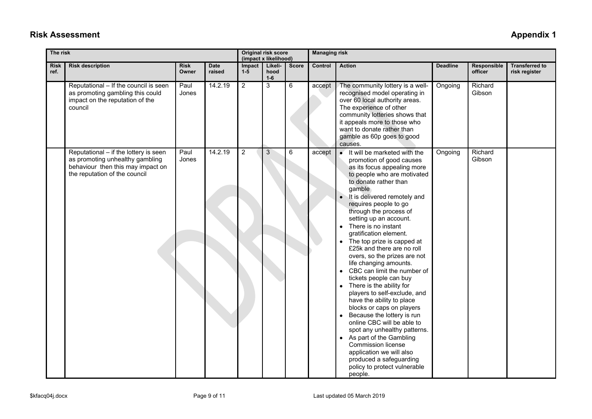# **Risk Assessment Appendix 1**

| The risk            |                                                                                                                                                |                      |                       |                 | Original risk score<br>(impact x likelihood) |              | <b>Managing risk</b> |                                                                                                                                                                                                                                                                                                                                                                                                                                                                                                                                                                                                                                                                                                                                                                                                                                                                                                                                                       |                 |                        |                                        |
|---------------------|------------------------------------------------------------------------------------------------------------------------------------------------|----------------------|-----------------------|-----------------|----------------------------------------------|--------------|----------------------|-------------------------------------------------------------------------------------------------------------------------------------------------------------------------------------------------------------------------------------------------------------------------------------------------------------------------------------------------------------------------------------------------------------------------------------------------------------------------------------------------------------------------------------------------------------------------------------------------------------------------------------------------------------------------------------------------------------------------------------------------------------------------------------------------------------------------------------------------------------------------------------------------------------------------------------------------------|-----------------|------------------------|----------------------------------------|
| <b>Risk</b><br>ref. | <b>Risk description</b>                                                                                                                        | <b>Risk</b><br>Owner | <b>Date</b><br>raised | Impact<br>$1-5$ | Likeli-<br>hood<br>$1-6$                     | <b>Score</b> | Control              | <b>Action</b>                                                                                                                                                                                                                                                                                                                                                                                                                                                                                                                                                                                                                                                                                                                                                                                                                                                                                                                                         | <b>Deadline</b> | Responsible<br>officer | <b>Transferred to</b><br>risk register |
|                     | Reputational - If the council is seen<br>as promoting gambling this could<br>impact on the reputation of the<br>council                        | Paul<br>Jones        | 14.2.19               | $\overline{2}$  | 3                                            | 6            | accept               | The community lottery is a well-<br>recognised model operating in<br>over 60 local authority areas.<br>The experience of other<br>community lotteries shows that<br>it appeals more to those who<br>want to donate rather than<br>gamble as 60p goes to good<br>causes.                                                                                                                                                                                                                                                                                                                                                                                                                                                                                                                                                                                                                                                                               | Ongoing         | Richard<br>Gibson      |                                        |
|                     | Reputational - if the lottery is seen<br>as promoting unhealthy gambling<br>behaviour then this may impact on<br>the reputation of the council | Paul<br>Jones        | 14.2.19               | $\overline{2}$  | 3                                            | 6            | accept               | It will be marketed with the<br>$\bullet$<br>promotion of good causes<br>as its focus appealing more<br>to people who are motivated<br>to donate rather than<br>gamble<br>It is delivered remotely and<br>$\bullet$<br>requires people to go<br>through the process of<br>setting up an account.<br>There is no instant<br>gratification element.<br>The top prize is capped at<br>£25k and there are no roll<br>overs, so the prizes are not<br>life changing amounts.<br>• CBC can limit the number of<br>tickets people can buy<br>There is the ability for<br>$\bullet$<br>players to self-exclude, and<br>have the ability to place<br>blocks or caps on players<br>Because the lottery is run<br>$\bullet$<br>online CBC will be able to<br>spot any unhealthy patterns.<br>As part of the Gambling<br>$\bullet$<br><b>Commission license</b><br>application we will also<br>produced a safeguarding<br>policy to protect vulnerable<br>people. | Ongoing         | Richard<br>Gibson      |                                        |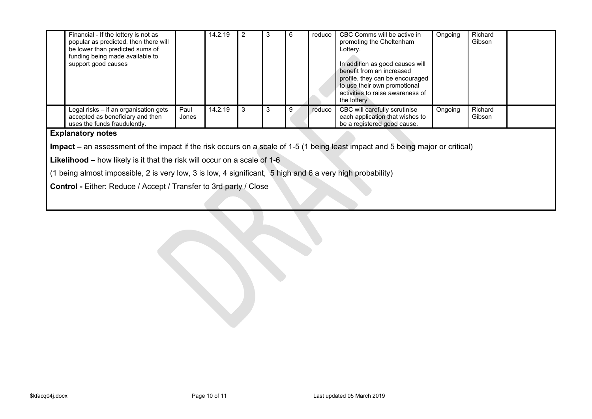| Financial - If the lottery is not as<br>popular as predicted, then there will<br>be lower than predicted sums of<br>funding being made available to<br>support good causes |               | 14.2.19 | 3 |   | reduce | CBC Comms will be active in<br>promoting the Cheltenham<br>Lottery.<br>In addition as good causes will<br>benefit from an increased<br>profile, they can be encouraged<br>to use their own promotional<br>activities to raise awareness of<br>the lottery | Ongoing | Richard<br>Gibson |  |
|----------------------------------------------------------------------------------------------------------------------------------------------------------------------------|---------------|---------|---|---|--------|-----------------------------------------------------------------------------------------------------------------------------------------------------------------------------------------------------------------------------------------------------------|---------|-------------------|--|
| Legal risks - if an organisation gets<br>accepted as beneficiary and then<br>uses the funds fraudulently.                                                                  | Paul<br>Jones | 14.2.19 | 3 | 9 | reduce | CBC will carefully scrutinise<br>each application that wishes to<br>be a registered good cause.                                                                                                                                                           | Ongoing | Richard<br>Gibson |  |

#### **Explanatory notes**

**Impact –** an assessment of the impact if the risk occurs on a scale of 1-5 (1 being least impact and 5 being major or critical)

**Likelihood –** how likely is it that the risk will occur on a scale of 1-6

(1 being almost impossible, 2 is very low, 3 is low, 4 significant, 5 high and 6 a very high probability)

**Control -** Either: Reduce / Accept / Transfer to 3rd party / Close